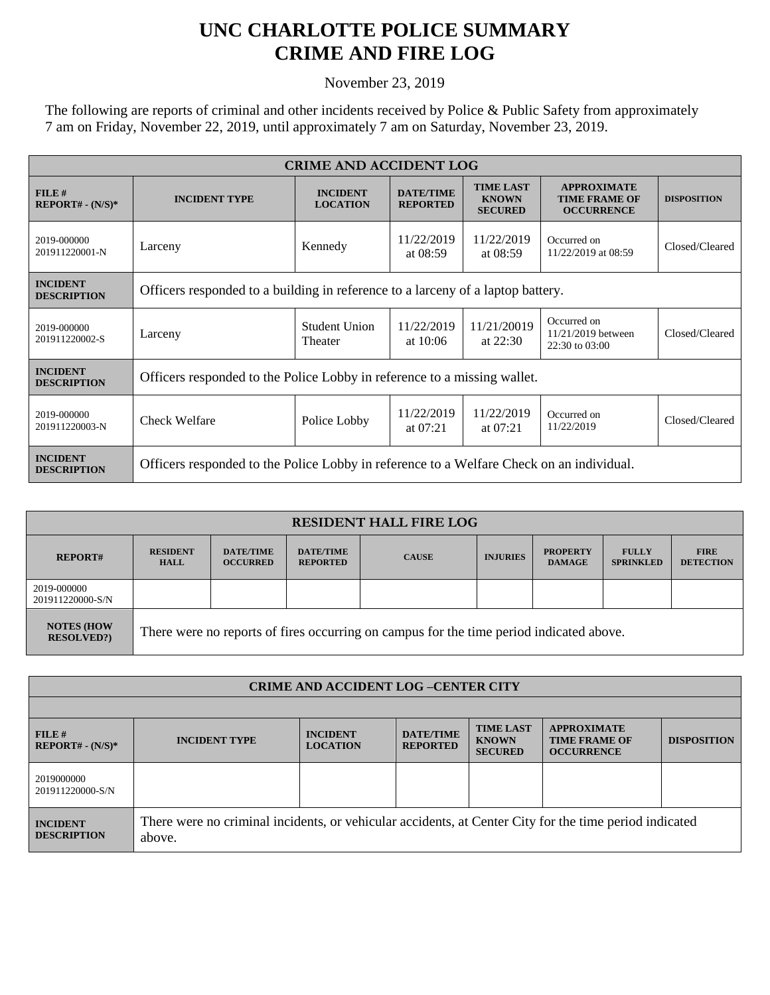## **UNC CHARLOTTE POLICE SUMMARY CRIME AND FIRE LOG**

November 23, 2019

The following are reports of criminal and other incidents received by Police & Public Safety from approximately 7 am on Friday, November 22, 2019, until approximately 7 am on Saturday, November 23, 2019.

| <b>CRIME AND ACCIDENT LOG</b>         |                                                                                          |                                    |                                     |                                                    |                                                                 |                    |  |
|---------------------------------------|------------------------------------------------------------------------------------------|------------------------------------|-------------------------------------|----------------------------------------------------|-----------------------------------------------------------------|--------------------|--|
| FILE#<br>$REPORT# - (N/S)*$           | <b>INCIDENT TYPE</b>                                                                     | <b>INCIDENT</b><br><b>LOCATION</b> | <b>DATE/TIME</b><br><b>REPORTED</b> | <b>TIME LAST</b><br><b>KNOWN</b><br><b>SECURED</b> | <b>APPROXIMATE</b><br><b>TIME FRAME OF</b><br><b>OCCURRENCE</b> | <b>DISPOSITION</b> |  |
| 2019-000000<br>201911220001-N         | Larceny                                                                                  | Kennedy                            | 11/22/2019<br>at 08:59              | 11/22/2019<br>at $08:59$                           | Occurred on<br>11/22/2019 at 08:59                              | Closed/Cleared     |  |
| <b>INCIDENT</b><br><b>DESCRIPTION</b> | Officers responded to a building in reference to a larceny of a laptop battery.          |                                    |                                     |                                                    |                                                                 |                    |  |
| 2019-000000<br>201911220002-S         | Larceny                                                                                  | Student Union<br>Theater           | 11/22/2019<br>at $10:06$            | 11/21/20019<br>at $22:30$                          | Occurred on<br>$11/21/2019$ between<br>22:30 to 03:00           | Closed/Cleared     |  |
| <b>INCIDENT</b><br><b>DESCRIPTION</b> | Officers responded to the Police Lobby in reference to a missing wallet.                 |                                    |                                     |                                                    |                                                                 |                    |  |
| 2019-000000<br>201911220003-N         | Check Welfare                                                                            | Police Lobby                       | 11/22/2019<br>at $07:21$            | 11/22/2019<br>at $07:21$                           | Occurred on<br>11/22/2019                                       | Closed/Cleared     |  |
| <b>INCIDENT</b><br><b>DESCRIPTION</b> | Officers responded to the Police Lobby in reference to a Welfare Check on an individual. |                                    |                                     |                                                    |                                                                 |                    |  |

| <b>RESIDENT HALL FIRE LOG</b>           |                                                                                         |                                     |                                     |              |                 |                                  |                                  |                                 |
|-----------------------------------------|-----------------------------------------------------------------------------------------|-------------------------------------|-------------------------------------|--------------|-----------------|----------------------------------|----------------------------------|---------------------------------|
| <b>REPORT#</b>                          | <b>RESIDENT</b><br><b>HALL</b>                                                          | <b>DATE/TIME</b><br><b>OCCURRED</b> | <b>DATE/TIME</b><br><b>REPORTED</b> | <b>CAUSE</b> | <b>INJURIES</b> | <b>PROPERTY</b><br><b>DAMAGE</b> | <b>FULLY</b><br><b>SPRINKLED</b> | <b>FIRE</b><br><b>DETECTION</b> |
| 2019-000000<br>201911220000-S/N         |                                                                                         |                                     |                                     |              |                 |                                  |                                  |                                 |
| <b>NOTES (HOW)</b><br><b>RESOLVED?)</b> | There were no reports of fires occurring on campus for the time period indicated above. |                                     |                                     |              |                 |                                  |                                  |                                 |

| <b>CRIME AND ACCIDENT LOG-CENTER CITY</b> |                                                                                                                  |                                    |                                     |                                                    |                                                                 |                    |  |
|-------------------------------------------|------------------------------------------------------------------------------------------------------------------|------------------------------------|-------------------------------------|----------------------------------------------------|-----------------------------------------------------------------|--------------------|--|
|                                           |                                                                                                                  |                                    |                                     |                                                    |                                                                 |                    |  |
| FILE#<br>$REPORT# - (N/S)*$               | <b>INCIDENT TYPE</b>                                                                                             | <b>INCIDENT</b><br><b>LOCATION</b> | <b>DATE/TIME</b><br><b>REPORTED</b> | <b>TIME LAST</b><br><b>KNOWN</b><br><b>SECURED</b> | <b>APPROXIMATE</b><br><b>TIME FRAME OF</b><br><b>OCCURRENCE</b> | <b>DISPOSITION</b> |  |
| 2019000000<br>201911220000-S/N            |                                                                                                                  |                                    |                                     |                                                    |                                                                 |                    |  |
| <b>INCIDENT</b><br><b>DESCRIPTION</b>     | There were no criminal incidents, or vehicular accidents, at Center City for the time period indicated<br>above. |                                    |                                     |                                                    |                                                                 |                    |  |